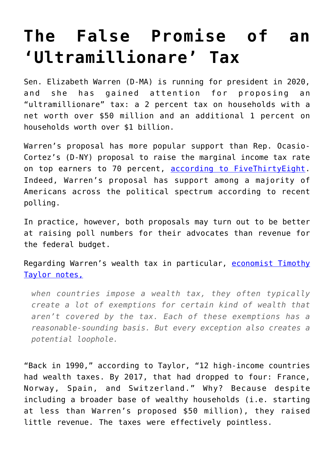## **[The False Promise of an](https://intellectualtakeout.org/2019/02/the-false-promise-of-an-ultramillionare-tax/) ['Ultramillionare' Tax](https://intellectualtakeout.org/2019/02/the-false-promise-of-an-ultramillionare-tax/)**

Sen. Elizabeth Warren (D-MA) is running for president in 2020, and she has gained attention for proposing an "ultramillionare" tax: a 2 percent tax on households with a net worth over \$50 million and an additional 1 percent on households worth over \$1 billion.

Warren's proposal has more popular support than Rep. Ocasio-Cortez's (D-NY) proposal to raise the marginal income tax rate on top earners to 70 percent, [according to FiveThirtyEight.](https://fivethirtyeight.com/features/americans-support-warrens-ultramillionare-tax/) Indeed, Warren's proposal has support among a majority of Americans across the political spectrum according to recent polling.

In practice, however, both proposals may turn out to be better at raising poll numbers for their advocates than revenue for the federal budget.

Regarding Warren's wealth tax in particular, [economist Timothy](https://conversableeconomist.blogspot.com/2019/02/why-have-other-countries-been-dropping.html) [Taylor notes,](https://conversableeconomist.blogspot.com/2019/02/why-have-other-countries-been-dropping.html)

*when countries impose a wealth tax, they often typically create a lot of exemptions for certain kind of wealth that aren't covered by the tax. Each of these exemptions has a reasonable-sounding basis. But every exception also creates a potential loophole.*

"Back in 1990," according to Taylor, "12 high-income countries had wealth taxes. By 2017, that had dropped to four: France, Norway, Spain, and Switzerland." Why? Because despite including a broader base of wealthy households (i.e. starting at less than Warren's proposed \$50 million), they raised little revenue. The taxes were effectively pointless.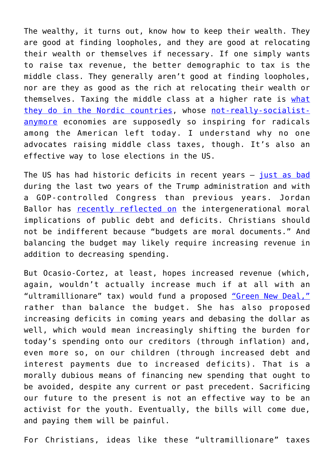The wealthy, it turns out, know how to keep their wealth. They are good at finding loopholes, and they are good at relocating their wealth or themselves if necessary. If one simply wants to raise tax revenue, the better demographic to tax is the middle class. They generally aren't good at finding loopholes, nor are they as good as the rich at relocating their wealth or themselves. Taxing the middle class at a higher rate is [what](https://en.wikipedia.org/wiki/Nordic_model) [they do in the Nordic countries,](https://en.wikipedia.org/wiki/Nordic_model) whose [not-really-socialist](https://acton.org/pub/commentary/2016/06/01/sorry-bernie-scandinavia-isnt-socialist-you-must-be-thinking-france)[anymore](https://acton.org/pub/commentary/2016/06/01/sorry-bernie-scandinavia-isnt-socialist-you-must-be-thinking-france) economies are supposedly so inspiring for radicals among the American left today. I understand why no one advocates raising middle class taxes, though. It's also an effective way to lose elections in the US.

The US has had historic deficits in recent years — [just as bad](https://www.thebalance.com/us-deficit-by-year-3306306) during the last two years of the Trump administration and with a GOP-controlled Congress than previous years. Jordan Ballor has [recently reflected on](https://www.thepublicdiscourse.com/2019/02/47770/) the intergenerational moral implications of public debt and deficits. Christians should not be indifferent because "budgets are moral documents." And balancing the budget may likely require increasing revenue in addition to decreasing spending.

But Ocasio-Cortez, at least, hopes increased revenue (which, again, wouldn't actually increase much if at all with an "ultramillionare" tax) would fund a proposed ["Green New Deal,"](https://blog.acton.org/archives/106242-explainer-what-you-should-know-about-alexandria-ocasio-cortez-green-new-deal.html) rather than balance the budget. She has also proposed increasing deficits in coming years and debasing the dollar as well, which would mean increasingly shifting the burden for today's spending onto our creditors (through inflation) and, even more so, on our children (through increased debt and interest payments due to increased deficits). That is a morally dubious means of financing new spending that ought to be avoided, despite any current or past precedent. Sacrificing our future to the present is not an effective way to be an activist for the youth. Eventually, the bills will come due, and paying them will be painful.

For Christians, ideas like these "ultramillionare" taxes